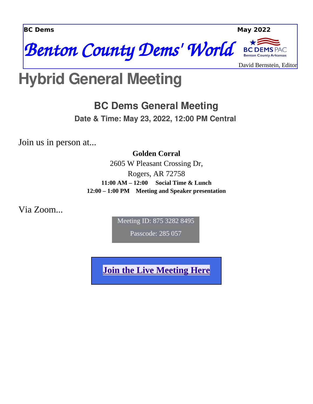



PAC **Benton County Arkansas** 

David Bernstein, Editor

#### **Hybrid General Meeting**

**BC Dems General Meeting**

**Date & Time: May 23, 2022, 12:00 PM Central**

Join us in person at...

#### **Golden Corral**

2605 W Pleasant Crossing Dr, Rogers, AR 72758 **11:00 AM – 12:00 Social Time & Lunch 12:00 – 1:00 PM Meeting and Speaker presentation**

Via Zoom...

Meeting ID: 875 3282 8495

Passcode: 285 057

**[Join the Live Meeting Here](https://us06web.zoom.us/j/87532828495?pwd=eUMxTHdxZWhMd28vZllFRDJqa0kxQT09)**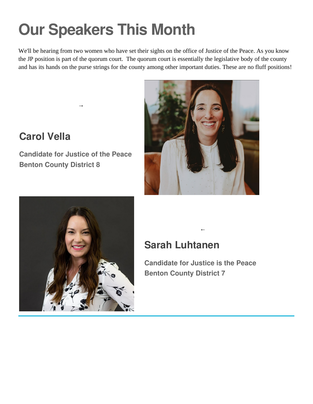# **Our Speakers This Month**

We'll be hearing from two women who have set their sights on the office of Justice of the Peace. As you know the JP position is part of the quorum court. The quorum court is essentially the legislative body of the county and has its hands on the purse strings for the county among other important duties. These are no fluff positions!



**Candidate for Justice of the Peace Benton County District 8**

 $\rightarrow$ 





#### **Sarah Luhtanen**

**Candidate for Justice is the Peace Benton County District 7**

←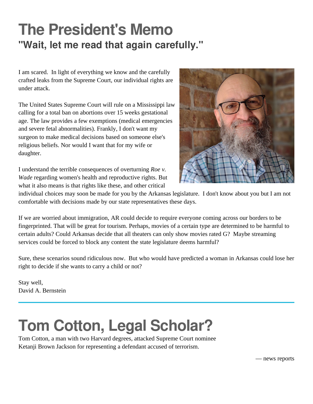#### **The President's Memo "Wait, let me read that again carefully."**

I am scared. In light of everything we know and the carefully crafted leaks from the Supreme Court, our individual rights are under attack.

The United States Supreme Court will rule on a Mississippi law calling for a total ban on abortions over 15 weeks gestational age. The law provides a few exemptions (medical emergencies and severe fetal abnormalities). Frankly, I don't want my surgeon to make medical decisions based on someone else's religious beliefs. Nor would I want that for my wife or daughter.

I understand the terrible consequences of overturning *Roe v. Wade* regarding women's health and reproductive rights. But what it also means is that rights like these, and other critical



individual choices may soon be made for you by the Arkansas legislature. I don't know about you but I am not comfortable with decisions made by our state representatives these days.

If we are worried about immigration, AR could decide to require everyone coming across our borders to be fingerprinted. That will be great for tourism. Perhaps, movies of a certain type are determined to be harmful to certain adults? Could Arkansas decide that all theaters can only show movies rated G? Maybe streaming services could be forced to block any content the state legislature deems harmful?

Sure, these scenarios sound ridiculous now. But who would have predicted a woman in Arkansas could lose her right to decide if she wants to carry a child or not?

Stay well, David A. Bernstein

## **Tom Cotton, Legal Scholar?**

Tom Cotton, a man with two Harvard degrees, attacked Supreme Court nominee Ketanji Brown Jackson for representing a defendant accused of terrorism.

— news reports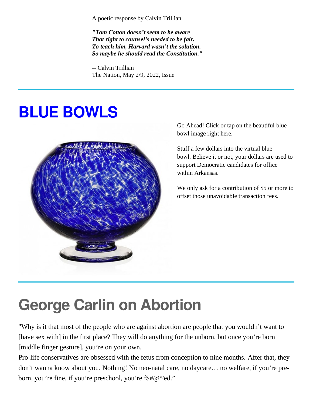A poetic response by Calvin Trillian

*"Tom Cotton doesn't seem to be aware That right to counsel's needed to be fair. To teach him, Harvard wasn't the solution. So maybe he should read the Constitution."*

-- Calvin Trillian The Nation, May 2/9, 2022, Issue

### **BLUE BOWLS**

l,



Go Ahead! Click or tap on the beautiful blue bowl image right here.

Stuff a few dollars into the virtual blue bowl. Believe it or not, your dollars are used to support Democratic candidates for office within Arkansas.

We only ask for a contribution of \$5 or more to offset those unavoidable transaction fees.

### **George Carlin on Abortion**

"Why is it that most of the people who are against abortion are people that you wouldn't want to [have sex with] in the first place? They will do anything for the unborn, but once you're born [middle finger gesture], you're on your own.

Pro-life conservatives are obsessed with the fetus from conception to nine months. After that, they don't wanna know about you. Nothing! No neo-natal care, no daycare… no welfare, if you're preborn, you're fine, if you're preschool, you're f\$#@^'ed."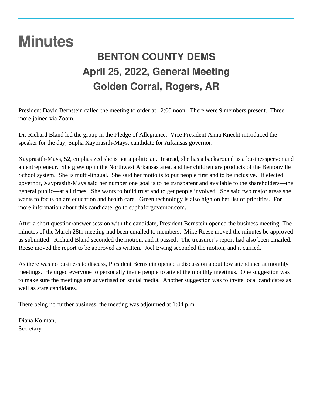#### **Minutes**

l

#### **BENTON COUNTY DEMS April 25, 2022, General Meeting Golden Corral, Rogers, AR**

President David Bernstein called the meeting to order at 12:00 noon. There were 9 members present. Three more joined via Zoom.

Dr. Richard Bland led the group in the Pledge of Allegiance. Vice President Anna Knecht introduced the speaker for the day, Supha Xayprasith-Mays, candidate for Arkansas governor.

Xayprasith-Mays, 52, emphasized she is not a politician. Instead, she has a background as a businessperson and an entrepreneur. She grew up in the Northwest Arkansas area, and her children are products of the Bentonville School system. She is multi-lingual. She said her motto is to put people first and to be inclusive. If elected governor, Xayprasith-Mays said her number one goal is to be transparent and available to the shareholders—the general public—at all times. She wants to build trust and to get people involved. She said two major areas she wants to focus on are education and health care. Green technology is also high on her list of priorities. For more information about this candidate, go to suphaforgovernor.com.

After a short question/answer session with the candidate, President Bernstein opened the business meeting. The minutes of the March 28th meeting had been emailed to members. Mike Reese moved the minutes be approved as submitted. Richard Bland seconded the motion, and it passed. The treasurer's report had also been emailed. Reese moved the report to be approved as written. Joel Ewing seconded the motion, and it carried.

As there was no business to discuss, President Bernstein opened a discussion about low attendance at monthly meetings. He urged everyone to personally invite people to attend the monthly meetings. One suggestion was to make sure the meetings are advertised on social media. Another suggestion was to invite local candidates as well as state candidates.

There being no further business, the meeting was adjourned at 1:04 p.m.

Diana Kolman, **Secretary**